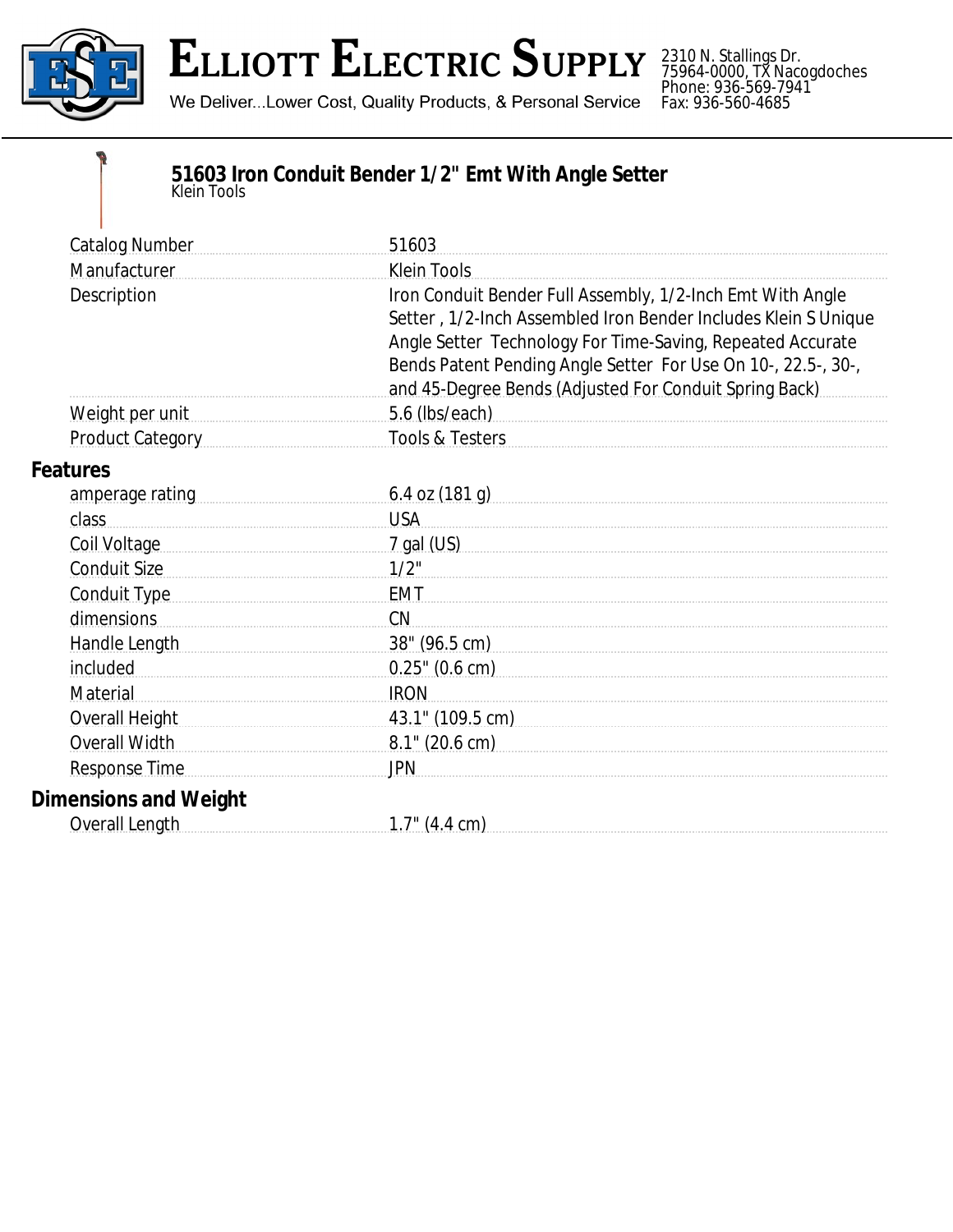

## **ELLIOTT ELECTRIC SUPPLY**

We Deliver...Lower Cost, Quality Products, & Personal Service

2310 N. Stallings Dr. 75964-0000, TX Nacogdoches Phone: 936-569-7941 Fax: 936-560-4685

## **51603 Iron Conduit Bender 1/2" Emt With Angle Setter** *Klein Tools*

| <b>Catalog Number</b>                                                                                          | 51603                                                                                                                                                                                                                                                                                                                 |
|----------------------------------------------------------------------------------------------------------------|-----------------------------------------------------------------------------------------------------------------------------------------------------------------------------------------------------------------------------------------------------------------------------------------------------------------------|
| Manufacturer                                                                                                   | <b>Klein Tools</b>                                                                                                                                                                                                                                                                                                    |
| Description                                                                                                    | Iron Conduit Bender Full Assembly, 1/2-Inch Emt With Angle<br>Setter, 1/2-Inch Assembled Iron Bender Includes Klein S Unique<br>Angle Setter Technology For Time-Saving, Repeated Accurate<br>Bends Patent Pending Angle Setter For Use On 10-, 22.5-, 30-,<br>and 45-Degree Bends (Adjusted For Conduit Spring Back) |
| Weight per unit                                                                                                | 5.6 (lbs/each)                                                                                                                                                                                                                                                                                                        |
| Product Category                                                                                               | <b>Tools &amp; Testers</b>                                                                                                                                                                                                                                                                                            |
| <b>Features</b>                                                                                                |                                                                                                                                                                                                                                                                                                                       |
| amperage rating measurements are all the same and all the same and all the same and all the same and all the s | $6.4$ OZ $(181$ g)                                                                                                                                                                                                                                                                                                    |
| class                                                                                                          | <b>USA</b>                                                                                                                                                                                                                                                                                                            |
| Coil Voltage                                                                                                   | <u>7 gal (US)</u>                                                                                                                                                                                                                                                                                                     |
| <b>Conduit Size</b>                                                                                            | $1/2$ "                                                                                                                                                                                                                                                                                                               |
| Conduit Type                                                                                                   | <b>EMT</b>                                                                                                                                                                                                                                                                                                            |
| dimensions                                                                                                     | CN                                                                                                                                                                                                                                                                                                                    |
| Handle Length                                                                                                  | 38" (96.5 cm)                                                                                                                                                                                                                                                                                                         |
| included                                                                                                       | $0.25$ " (0.6 cm)                                                                                                                                                                                                                                                                                                     |
| Material                                                                                                       | <b>IRON</b>                                                                                                                                                                                                                                                                                                           |
| Overall Height                                                                                                 | 43.1" (109.5 cm) example a series of the series of the series of the series of the series of the series of the                                                                                                                                                                                                        |
| Overall Width                                                                                                  | $8.1$ " (20.6 cm)                                                                                                                                                                                                                                                                                                     |
| <b>Response Time</b>                                                                                           | <b>JPN</b>                                                                                                                                                                                                                                                                                                            |
| <b>Dimensions and Weight</b>                                                                                   |                                                                                                                                                                                                                                                                                                                       |
| Overall Length                                                                                                 | $1.7$ " (4.4 cm)                                                                                                                                                                                                                                                                                                      |